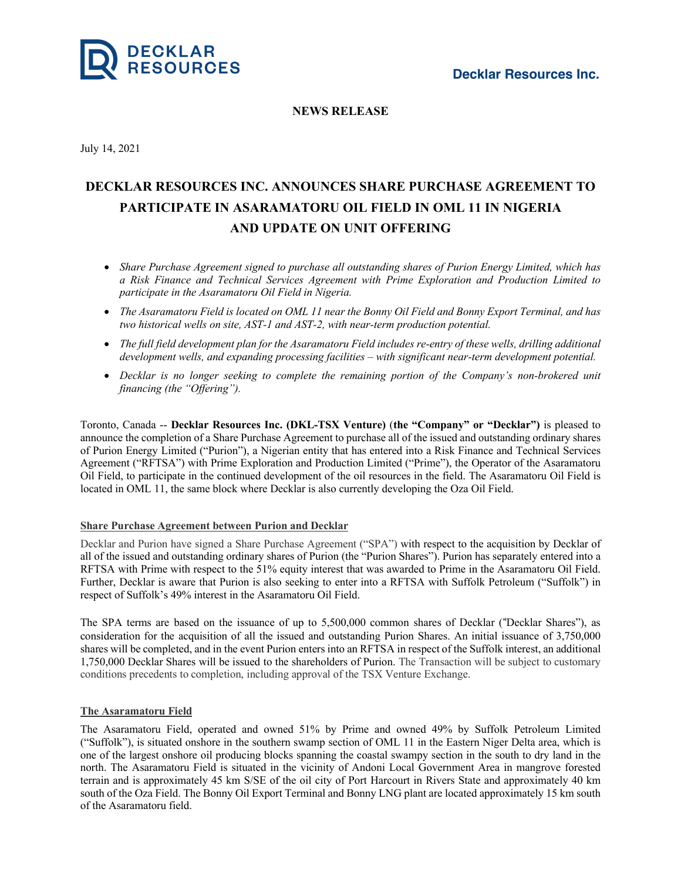

# **NEWS RELEASE**

July 14, 2021

# **DECKLAR RESOURCES INC. ANNOUNCES SHARE PURCHASE AGREEMENT TO PARTICIPATE IN ASARAMATORU OIL FIELD IN OML 11 IN NIGERIA AND UPDATE ON UNIT OFFERING**

- *Share Purchase Agreement signed to purchase all outstanding shares of Purion Energy Limited, which has a Risk Finance and Technical Services Agreement with Prime Exploration and Production Limited to participate in the Asaramatoru Oil Field in Nigeria.*
- The Asaramatoru Field is located on OML 11 near the Bonny Oil Field and Bonny Export Terminal, and has *two historical wells on site, AST-1 and AST-2, with near-term production potential.*
- The full field development plan for the Asaramatoru Field includes re-entry of these wells, drilling additional *development wells, and expanding processing facilities – with significant near-term development potential.*
- *Decklar is no longer seeking to complete the remaining portion of the Company's non-brokered unit financing (the "Offering").*

Toronto, Canada -- **Decklar Resources Inc. (DKL-TSX Venture)** (**the "Company" or "Decklar")** is pleased to announce the completion of a Share Purchase Agreement to purchase all of the issued and outstanding ordinary shares of Purion Energy Limited ("Purion"), a Nigerian entity that has entered into a Risk Finance and Technical Services Agreement ("RFTSA") with Prime Exploration and Production Limited ("Prime"), the Operator of the Asaramatoru Oil Field, to participate in the continued development of the oil resources in the field. The Asaramatoru Oil Field is located in OML 11, the same block where Decklar is also currently developing the Oza Oil Field.

#### **Share Purchase Agreement between Purion and Decklar**

Decklar and Purion have signed a Share Purchase Agreement ("SPA") with respect to the acquisition by Decklar of all of the issued and outstanding ordinary shares of Purion (the "Purion Shares"). Purion has separately entered into a RFTSA with Prime with respect to the 51% equity interest that was awarded to Prime in the Asaramatoru Oil Field. Further, Decklar is aware that Purion is also seeking to enter into a RFTSA with Suffolk Petroleum ("Suffolk") in respect of Suffolk's 49% interest in the Asaramatoru Oil Field.

The SPA terms are based on the issuance of up to 5,500,000 common shares of Decklar ("Decklar Shares"), as consideration for the acquisition of all the issued and outstanding Purion Shares. An initial issuance of 3,750,000 shares will be completed, and in the event Purion enters into an RFTSA in respect of the Suffolk interest, an additional 1,750,000 Decklar Shares will be issued to the shareholders of Purion. The Transaction will be subject to customary conditions precedents to completion, including approval of the TSX Venture Exchange.

## **The Asaramatoru Field**

The Asaramatoru Field, operated and owned 51% by Prime and owned 49% by Suffolk Petroleum Limited ("Suffolk"), is situated onshore in the southern swamp section of OML 11 in the Eastern Niger Delta area, which is one of the largest onshore oil producing blocks spanning the coastal swampy section in the south to dry land in the north. The Asaramatoru Field is situated in the vicinity of Andoni Local Government Area in mangrove forested terrain and is approximately 45 km S/SE of the oil city of Port Harcourt in Rivers State and approximately 40 km south of the Oza Field. The Bonny Oil Export Terminal and Bonny LNG plant are located approximately 15 km south of the Asaramatoru field.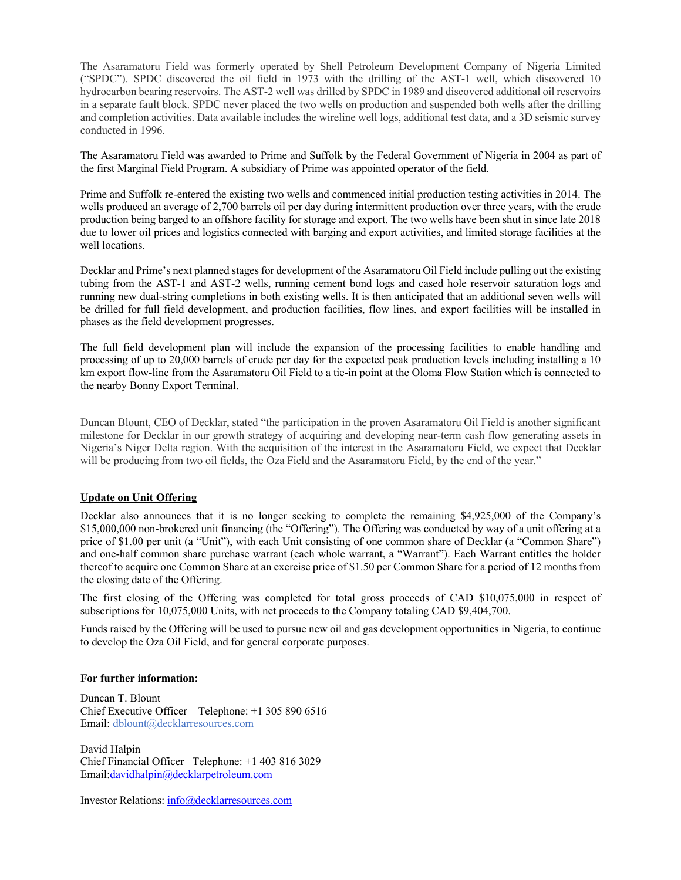The Asaramatoru Field was formerly operated by Shell Petroleum Development Company of Nigeria Limited ("SPDC"). SPDC discovered the oil field in 1973 with the drilling of the AST-1 well, which discovered 10 hydrocarbon bearing reservoirs. The AST-2 well was drilled by SPDC in 1989 and discovered additional oil reservoirs in a separate fault block. SPDC never placed the two wells on production and suspended both wells after the drilling and completion activities. Data available includes the wireline well logs, additional test data, and a 3D seismic survey conducted in 1996.

The Asaramatoru Field was awarded to Prime and Suffolk by the Federal Government of Nigeria in 2004 as part of the first Marginal Field Program. A subsidiary of Prime was appointed operator of the field.

Prime and Suffolk re-entered the existing two wells and commenced initial production testing activities in 2014. The wells produced an average of 2,700 barrels oil per day during intermittent production over three years, with the crude production being barged to an offshore facility for storage and export. The two wells have been shut in since late 2018 due to lower oil prices and logistics connected with barging and export activities, and limited storage facilities at the well locations.

Decklar and Prime's next planned stages for development of the Asaramatoru Oil Field include pulling out the existing tubing from the AST-1 and AST-2 wells, running cement bond logs and cased hole reservoir saturation logs and running new dual-string completions in both existing wells. It is then anticipated that an additional seven wells will be drilled for full field development, and production facilities, flow lines, and export facilities will be installed in phases as the field development progresses.

The full field development plan will include the expansion of the processing facilities to enable handling and processing of up to 20,000 barrels of crude per day for the expected peak production levels including installing a 10 km export flow-line from the Asaramatoru Oil Field to a tie-in point at the Oloma Flow Station which is connected to the nearby Bonny Export Terminal.

Duncan Blount, CEO of Decklar, stated "the participation in the proven Asaramatoru Oil Field is another significant milestone for Decklar in our growth strategy of acquiring and developing near-term cash flow generating assets in Nigeria's Niger Delta region. With the acquisition of the interest in the Asaramatoru Field, we expect that Decklar will be producing from two oil fields, the Oza Field and the Asaramatoru Field, by the end of the year."

## **Update on Unit Offering**

Decklar also announces that it is no longer seeking to complete the remaining \$4,925,000 of the Company's \$15,000,000 non-brokered unit financing (the "Offering"). The Offering was conducted by way of a unit offering at a price of \$1.00 per unit (a "Unit"), with each Unit consisting of one common share of Decklar (a "Common Share") and one-half common share purchase warrant (each whole warrant, a "Warrant"). Each Warrant entitles the holder thereof to acquire one Common Share at an exercise price of \$1.50 per Common Share for a period of 12 months from the closing date of the Offering.

The first closing of the Offering was completed for total gross proceeds of CAD \$10,075,000 in respect of subscriptions for 10,075,000 Units, with net proceeds to the Company totaling CAD \$9,404,700.

Funds raised by the Offering will be used to pursue new oil and gas development opportunities in Nigeria, to continue to develop the Oza Oil Field, and for general corporate purposes.

#### **For further information:**

Duncan T. Blount Chief Executive Officer Telephone: +1 305 890 6516 Email: dblount@decklarresources.com

David Halpin Chief Financial Officer Telephone: +1 403 816 3029 Email:davidhalpin@decklarpetroleum.com

Investor Relations: info@decklarresources.com